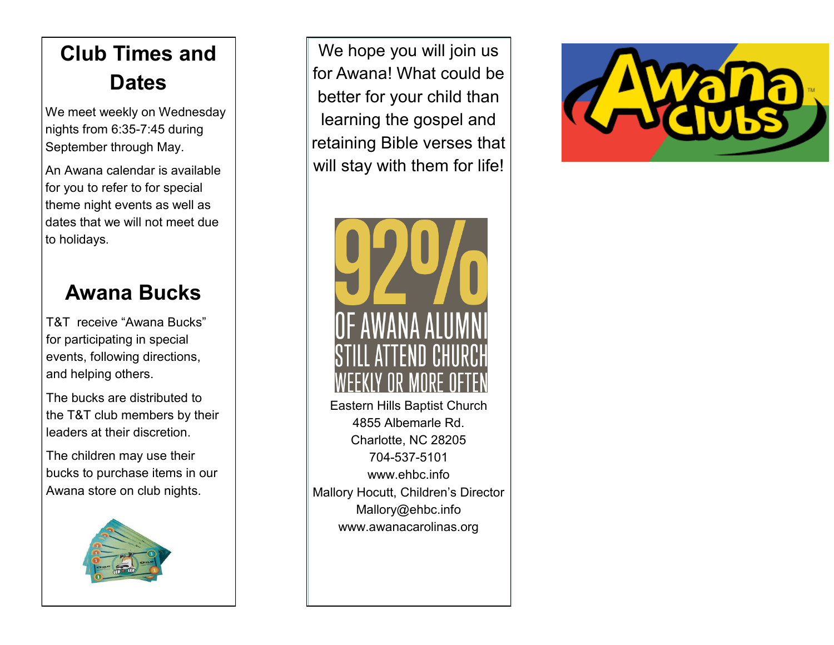# **Club Times and Dates**

We meet weekly on Wednesday nights from 6:35-7:45 during September through May.

An Awana calendar is available for you to refer to for special theme night events as well as dates that we will not meet due to holidays.

#### **Awana Bucks**

T&T receive "Awana Bucks" for participating in special events, following directions, and helping others.

The bucks are distributed to the T&T club members by their leaders at their discretion.

The children may use their bucks to purchase items in our Awana store on club nights.



We hope you will join us for Awana! What could be better for your child than learning the gospel and retaining Bible verses that will stay with them for life!



Eastern Hills Baptist Church 4855 Albemarle Rd. Charlotte, NC 28205 704-537-5101 www.ehbc.info Mallory Hocutt, Children's Director Mallory@ehbc.info www.awanacarolinas.org